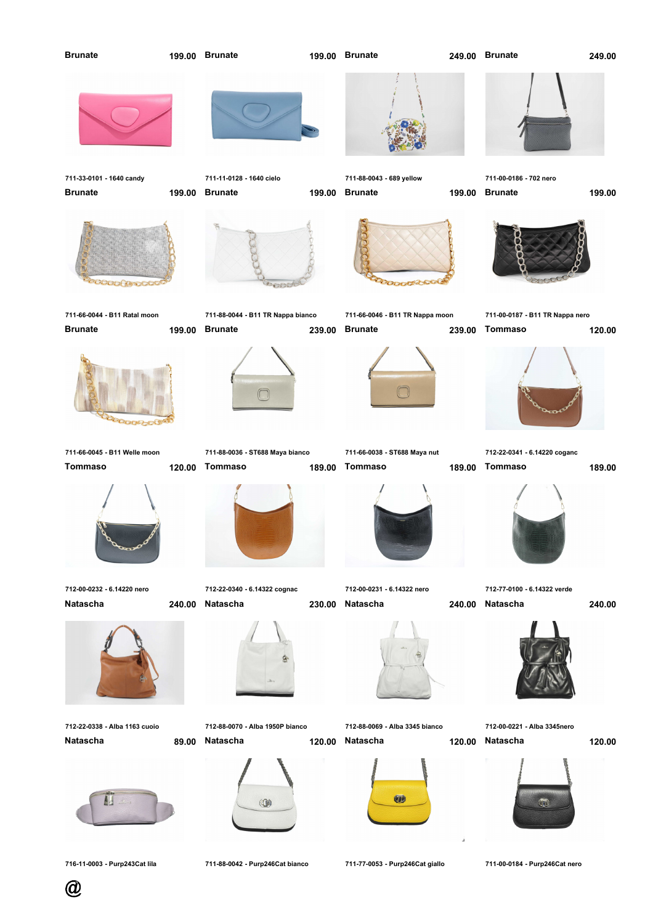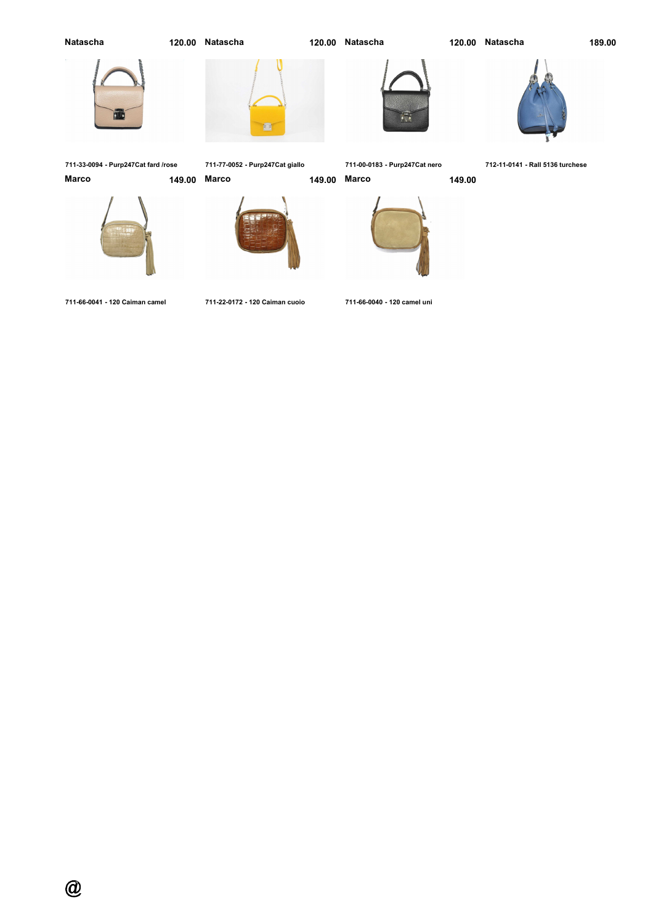## **Natascha**

**Natascha 120.00**

**Natascha 120.00**

**Natascha 189.00**



**711-33-0094 - Purp247Cat fard /rose**

**711-77-0052 - Purp247Cat giallo**

量

**711-00-0183 - Purp247Cat nero Marco 149.00**



**712-11-0141 - Rall 5136 turchese**













**711-66-0041 - 120 Caiman camel**

**711-22-0172 - 120 Caiman cuoio**

**711-66-0040 - 120 camel uni**